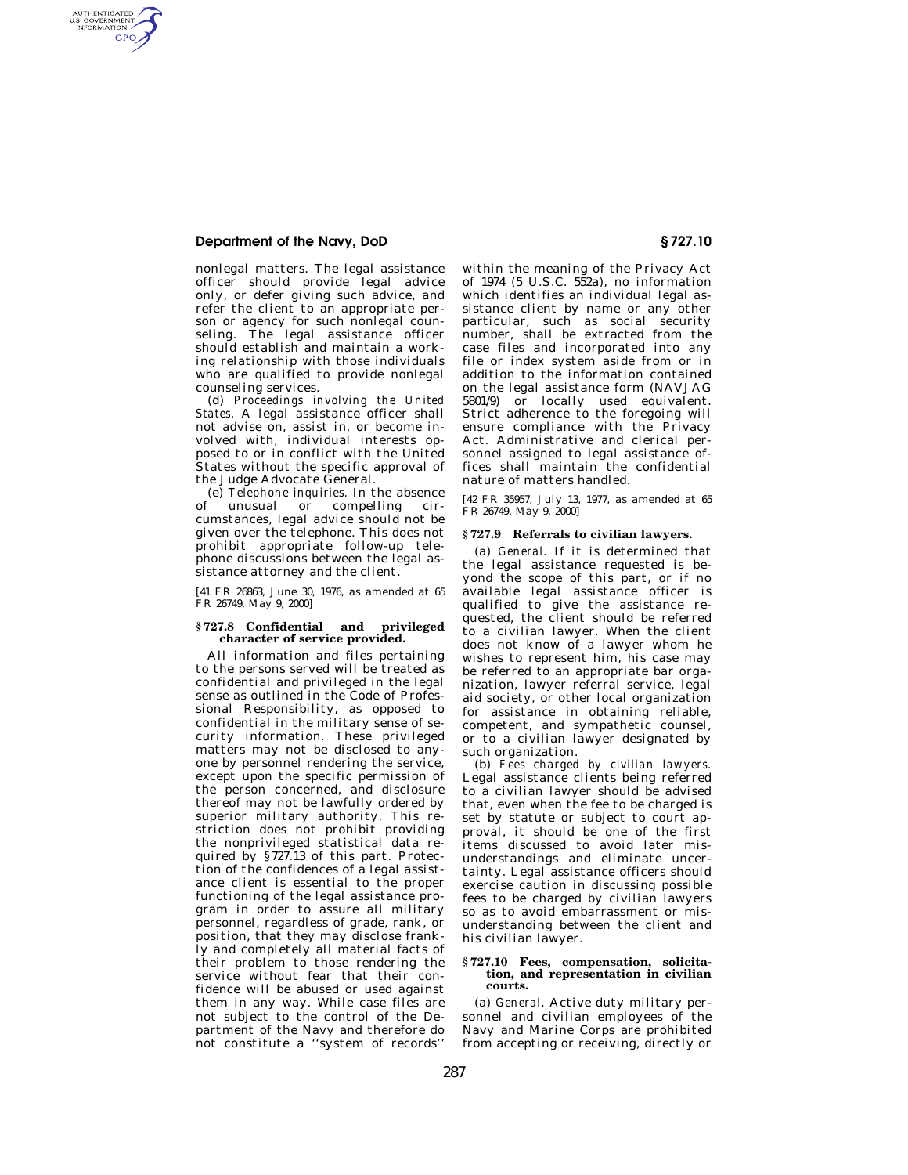### **Department of the Navy, DoD § 727.10**

AUTHENTICATED<br>U.S. GOVERNMENT<br>INFORMATION **GPO** 

> nonlegal matters. The legal assistance officer should provide legal advice only, or defer giving such advice, and refer the client to an appropriate person or agency for such nonlegal counseling. The legal assistance officer should establish and maintain a working relationship with those individuals who are qualified to provide nonlegal counseling services.

> (d) *Proceedings involving the United States.* A legal assistance officer shall not advise on, assist in, or become involved with, individual interests opposed to or in conflict with the United States without the specific approval of the Judge Advocate General.

> (e) *Telephone inquiries.* In the absence unusual or compelling circumstances, legal advice should not be given over the telephone. This does not prohibit appropriate follow-up telephone discussions between the legal assistance attorney and the client.

> [41 FR 26863, June 30, 1976, as amended at 65 FR 26749, May 9, 2000]

### **§ 727.8 Confidential and privileged character of service provided.**

All information and files pertaining to the persons served will be treated as confidential and privileged in the legal sense as outlined in the Code of Professional Responsibility, as opposed to confidential in the military sense of security information. These privileged matters may not be disclosed to anyone by personnel rendering the service, except upon the specific permission of the person concerned, and disclosure thereof may not be lawfully ordered by superior military authority. This restriction does not prohibit providing the nonprivileged statistical data required by §727.13 of this part. Protection of the confidences of a legal assistance client is essential to the proper functioning of the legal assistance program in order to assure all military personnel, regardless of grade, rank, or position, that they may disclose frankly and completely all material facts of their problem to those rendering the service without fear that their confidence will be abused or used against them in any way. While case files are not subject to the control of the Department of the Navy and therefore do not constitute a ''system of records''

within the meaning of the Privacy Act of 1974 (5 U.S.C. 552a), no information which identifies an individual legal assistance client by name or any other particular, such as social security number, shall be extracted from the case files and incorporated into any file or index system aside from or in addition to the information contained on the legal assistance form (NAVJAG 5801/9) or locally used equivalent. Strict adherence to the foregoing will ensure compliance with the Privacy Act. Administrative and clerical personnel assigned to legal assistance offices shall maintain the confidential nature of matters handled.

[42 FR 35957, July 13, 1977, as amended at 65 FR 26749, May 9, 2000]

#### **§ 727.9 Referrals to civilian lawyers.**

(a) *General.* If it is determined that the legal assistance requested is beyond the scope of this part, or if no available legal assistance officer is qualified to give the assistance requested, the client should be referred to a civilian lawyer. When the client does not know of a lawyer whom he wishes to represent him, his case may be referred to an appropriate bar organization, lawyer referral service, legal aid society, or other local organization for assistance in obtaining reliable, competent, and sympathetic counsel, or to a civilian lawyer designated by such organization.

(b) *Fees charged by civilian lawyers.*  Legal assistance clients being referred to a civilian lawyer should be advised that, even when the fee to be charged is set by statute or subject to court approval, it should be one of the first items discussed to avoid later misunderstandings and eliminate uncertainty. Legal assistance officers should exercise caution in discussing possible fees to be charged by civilian lawyers so as to avoid embarrassment or misunderstanding between the client and his civilian lawyer.

#### **§ 727.10 Fees, compensation, solicitation, and representation in civilian courts.**

(a) *General.* Active duty military personnel and civilian employees of the Navy and Marine Corps are prohibited from accepting or receiving, directly or